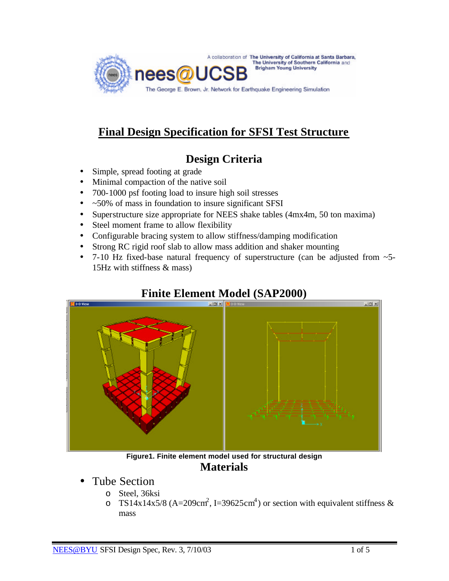

# **Final Design Specification for SFSI Test Structure**

# **Design Criteria**

- Simple, spread footing at grade
- Minimal compaction of the native soil
- 700-1000 psf footing load to insure high soil stresses
- ~50% of mass in foundation to insure significant SFSI
- Superstructure size appropriate for NEES shake tables (4mx4m, 50 ton maxima)
- Steel moment frame to allow flexibility
- Configurable bracing system to allow stiffness/damping modification
- Strong RC rigid roof slab to allow mass addition and shaker mounting
- 7-10 Hz fixed-base natural frequency of superstructure (can be adjusted from  $\sim$  5-15Hz with stiffness & mass)



## **Finite Element Model (SAP2000)**

**Figure1. Finite element model used for structural design Materials**

- Tube Section
	- o Steel, 36ksi
	- o TS14x14x5/8 (A=209cm<sup>2</sup>, I=39625cm<sup>4</sup>) or section with equivalent stiffness & mass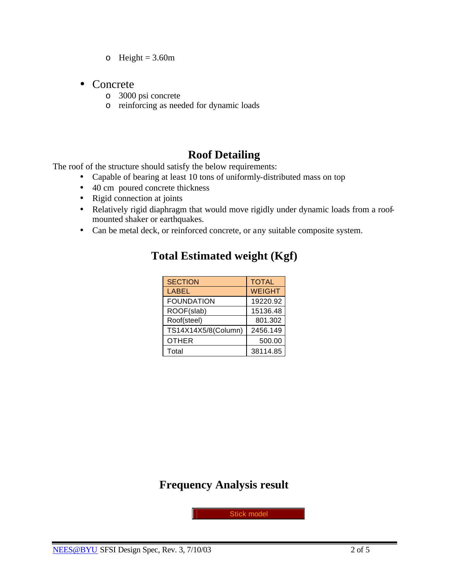- $\circ$  Height = 3.60m
- Concrete
	- o 3000 psi concrete
	- o reinforcing as needed for dynamic loads

## **Roof Detailing**

The roof of the structure should satisfy the below requirements:

- Capable of bearing at least 10 tons of uniformly-distributed mass on top
- 40 cm poured concrete thickness
- Rigid connection at joints
- Relatively rigid diaphragm that would move rigidly under dynamic loads from a roofmounted shaker or earthquakes.
- Can be metal deck, or reinforced concrete, or any suitable composite system.

| <b>SECTION</b>      | <b>TOTAL</b>  |  |
|---------------------|---------------|--|
| <b>LABEL</b>        | <b>WEIGHT</b> |  |
| <b>FOUNDATION</b>   | 19220.92      |  |
| ROOF(slab)          | 15136.48      |  |
| Roof(steel)         | 801.302       |  |
| TS14X14X5/8(Column) | 2456.149      |  |
| <b>OTHER</b>        | 500.00        |  |
| Total               | 38114.85      |  |

#### **Total Estimated weight (Kgf)**

## **Frequency Analysis result**

Stick model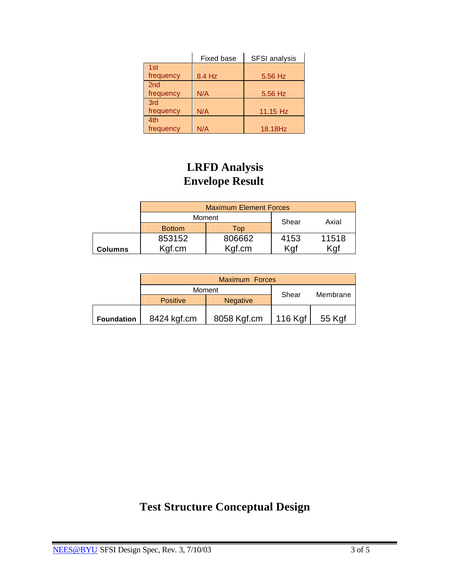|                 | Fixed base<br><b>SFSI</b> analysis |          |
|-----------------|------------------------------------|----------|
| 1st             |                                    |          |
| frequency       | 8.4 Hz                             | 5.56 Hz  |
| 2 <sub>nd</sub> |                                    |          |
| frequency       | N/A                                | 5.56 Hz  |
| 3rd             |                                    |          |
| frequency       | N/A                                | 11.15 Hz |
| 4th             |                                    |          |
| frequency       | N/A                                | 18.18Hz  |

# **LRFD Analysis Envelope Result**

|         | <b>Maximum Element Forces</b> |        |       |       |
|---------|-------------------------------|--------|-------|-------|
|         | Moment                        |        | Shear | Axial |
|         | <b>Bottom</b>                 | Top    |       |       |
|         | 853152                        | 806662 | 4153  | 11518 |
| Columns | Kgf.cm                        | Kgf.cm | Kaf   | Kgf   |

|                   | <b>Maximum Forces</b> |                 |                          |          |
|-------------------|-----------------------|-----------------|--------------------------|----------|
|                   | Moment                |                 | Shear                    | Membrane |
|                   | <b>Positive</b>       | <b>Negative</b> |                          |          |
| <b>Foundation</b> | 8424 kgf.cm           | 8058 Kgf.cm     | $116$ Kgf $\overline{ }$ | 55 Kgf   |

# **Test Structure Conceptual Design**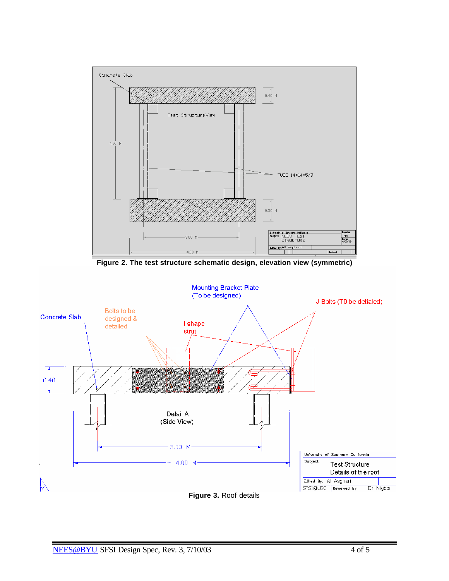

**Figure 2. The test structure schematic design, elevation view (symmetric)**